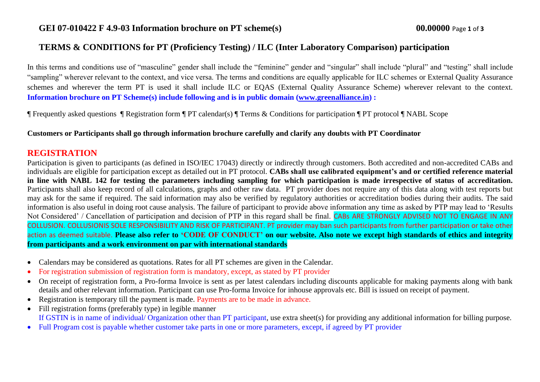# **TERMS & CONDITIONS for PT (Proficiency Testing) / ILC (Inter Laboratory Comparison) participation**

In this terms and conditions use of "masculine" gender shall include the "feminine" gender and "singular" shall include "plural" and "testing" shall include "sampling" wherever relevant to the context, and vice versa. The terms and conditions are equally applicable for ILC schemes or External Quality Assurance schemes and wherever the term PT is used it shall include ILC or EQAS (External Quality Assurance Scheme) wherever relevant to the context. **Information brochure on PT Scheme(s) include following and is in public domain [\(www.greenalliance.in\)](http://www.greenalliance.in/) :**

¶ Frequently asked questions ¶ Registration form ¶ PT calendar(s) ¶ Terms & Conditions for participation ¶ PT protocol ¶ NABL Scope

**Customers or Participants shall go through information brochure carefully and clarify any doubts with PT Coordinator** 

### **REGISTRATION**

Participation is given to participants (as defined in ISO/IEC 17043) directly or indirectly through customers. Both accredited and non-accredited CABs and individuals are eligible for participation except as detailed out in PT protocol. **CABs shall use calibrated equipment's and or certified reference material in line with NABL 142 for testing the parameters including sampling for which participation is made irrespective of status of accreditation.**  Participants shall also keep record of all calculations, graphs and other raw data. PT provider does not require any of this data along with test reports but may ask for the same if required. The said information may also be verified by regulatory authorities or accreditation bodies during their audits. The said information is also useful in doing root cause analysis. The failure of participant to provide above information any time as asked by PTP may lead to 'Results Not Considered' / Cancellation of participation and decision of PTP in this regard shall be final. CABs ARE STRONGLY ADVISED NOT TO ENGAGE IN ANY COLLUSION. COLLUSIONIS SOLE RESPONSIBILITY AND RISK OF PARTICIPANT. PT provider may ban such participants from further participation or take other action as deemed suitable. **Please also refer to 'CODE OF CONDUCT' on our website. Also note we except high standards of ethics and integrity from participants and a work environment on par with international standards**

- Calendars may be considered as quotations. Rates for all PT schemes are given in the Calendar.
- For registration submission of registration form is mandatory, except, as stated by PT provider
- On receipt of registration form, a Pro-forma Invoice is sent as per latest calendars including discounts applicable for making payments along with bank details and other relevant information. Participant can use Pro-forma Invoice for inhouse approvals etc. Bill is issued on receipt of payment.
- Registration is temporary till the payment is made. Payments are to be made in advance.
- Fill registration forms (preferably type) in legible manner If GSTIN is in name of individual/ Organization other than PT participant, use extra sheet(s) for providing any additional information for billing purpose.
- Full Program cost is payable whether customer take parts in one or more parameters, except, if agreed by PT provider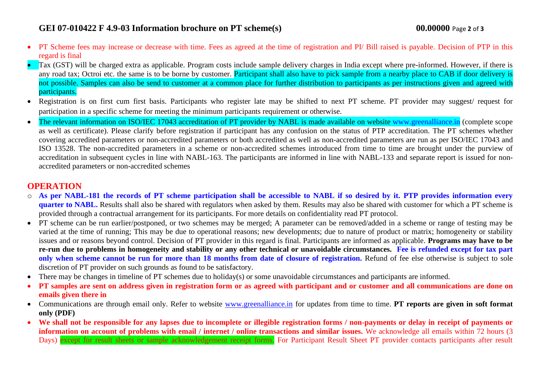# **GEI 07-010422 F 4.9-03 Information brochure on PT scheme(s) 00.00000** Page **2** of **3**

- PT Scheme fees may increase or decrease with time. Fees as agreed at the time of registration and PI/ Bill raised is payable. Decision of PTP in this regard is final
- Tax (GST) will be charged extra as applicable. Program costs include sample delivery charges in India except where pre-informed. However, if there is any road tax; Octroi etc. the same is to be borne by customer. Participant shall also have to pick sample from a nearby place to CAB if door delivery is not possible. Samples can also be send to customer at a common place for further distribution to participants as per instructions given and agreed with participants.
- Registration is on first cum first basis. Participants who register late may be shifted to next PT scheme. PT provider may suggest/ request for participation in a specific scheme for meeting the minimum participants requirement or otherwise.
- The relevant information on ISO/IEC 17043 accreditation of PT provider by NABL is made available on website [www.greenalliance.in](http://www.greenalliance.in/) (complete scope as well as certificate). Please clarify before registration if participant has any confusion on the status of PTP accreditation. The PT schemes whether covering accredited parameters or non-accredited parameters or both accredited as well as non-accredited parameters are run as per ISO/IEC 17043 and ISO 13528. The non-accredited parameters in a scheme or non-accredited schemes introduced from time to time are brought under the purview of accreditation in subsequent cycles in line with NABL-163. The participants are informed in line with NABL-133 and separate report is issued for nonaccredited parameters or non-accredited schemes

# **OPERATION**

- o **As per NABL-181 the records of PT scheme participation shall be accessible to NABL if so desired by it. PTP provides information every quarter to NABL.** Results shall also be shared with regulators when asked by them. Results may also be shared with customer for which a PT scheme is provided through a contractual arrangement for its participants. For more details on confidentiality read PT protocol.
- PT scheme can be run earlier/postponed, or two schemes may be merged; A parameter can be removed/added in a scheme or range of testing may be varied at the time of running; This may be due to operational reasons; new developments; due to nature of product or matrix; homogeneity or stability issues and or reasons beyond control. Decision of PT provider in this regard is final. Participants are informed as applicable. **Programs may have to be re-run due to problems in homogeneity and stability or any other technical or unavoidable circumstances. Fee is refunded except for tax part only when scheme cannot be run for more than 18 months from date of closure of registration. Refund of fee else otherwise is subject to sole** discretion of PT provider on such grounds as found to be satisfactory.
- There may be changes in timeline of PT schemes due to holiday(s) or some unavoidable circumstances and participants are informed.
- **PT samples are sent on address given in registration form or as agreed with participant and or customer and all communications are done on emails given there in**
- Communications are through email only. Refer to website [www.greenalliance.in](http://www.greenalliance.in/) for updates from time to time. **PT reports are given in soft format only (PDF)**
- **We shall not be responsible for any lapses due to incomplete or illegible registration forms / non-payments or delay in receipt of payments or information on account of problems with email / internet / online transactions and similar issues.** We acknowledge all emails within 72 hours (3) Days) except for result sheets or sample acknowledgement receipt forms. For Participant Result Sheet PT provider contacts participants after result